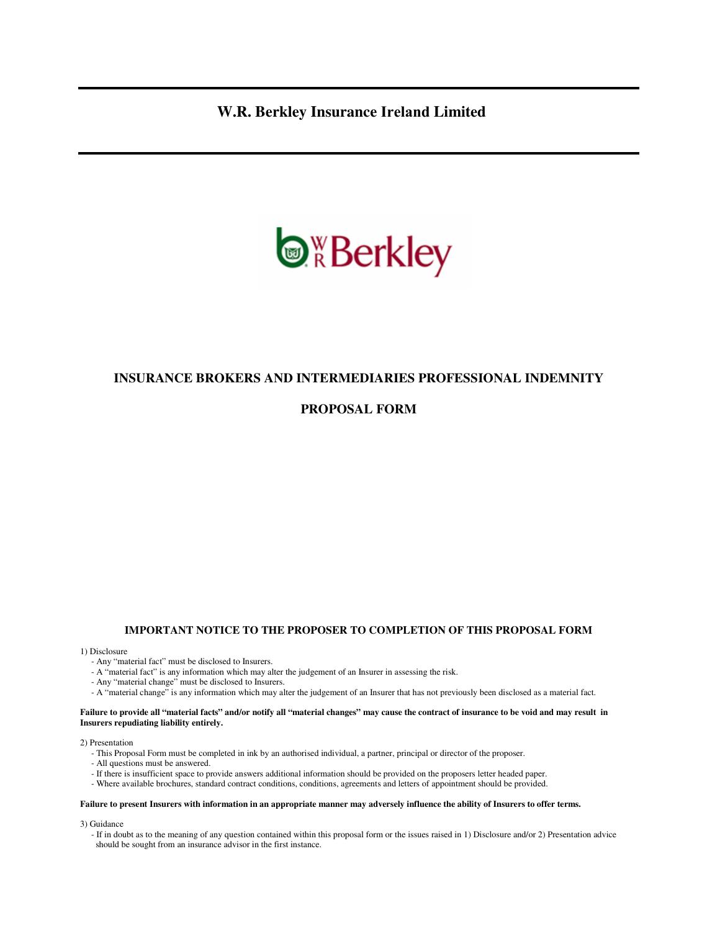**W.R. Berkley Insurance Ireland Limited** 



# **INSURANCE BROKERS AND INTERMEDIARIES PROFESSIONAL INDEMNITY**

# **PROPOSAL FORM**

### **IMPORTANT NOTICE TO THE PROPOSER TO COMPLETION OF THIS PROPOSAL FORM**

#### 1) Disclosure

- Any "material fact" must be disclosed to Insurers.
- A "material fact" is any information which may alter the judgement of an Insurer in assessing the risk.
- Any "material change" must be disclosed to Insurers.
- A "material change" is any information which may alter the judgement of an Insurer that has not previously been disclosed as a material fact.

#### **Failure to provide all "material facts" and/or notify all "material changes" may cause the contract of insurance to be void and may result in Insurers repudiating liability entirely.**

#### 2) Presentation

- This Proposal Form must be completed in ink by an authorised individual, a partner, principal or director of the proposer.
- All questions must be answered.
- If there is insufficient space to provide answers additional information should be provided on the proposers letter headed paper.
- Where available brochures, standard contract conditions, conditions, agreements and letters of appointment should be provided.

#### **Failure to present Insurers with information in an appropriate manner may adversely influence the ability of Insurers to offer terms.**

3) Guidance

 - If in doubt as to the meaning of any question contained within this proposal form or the issues raised in 1) Disclosure and/or 2) Presentation advice should be sought from an insurance advisor in the first instance.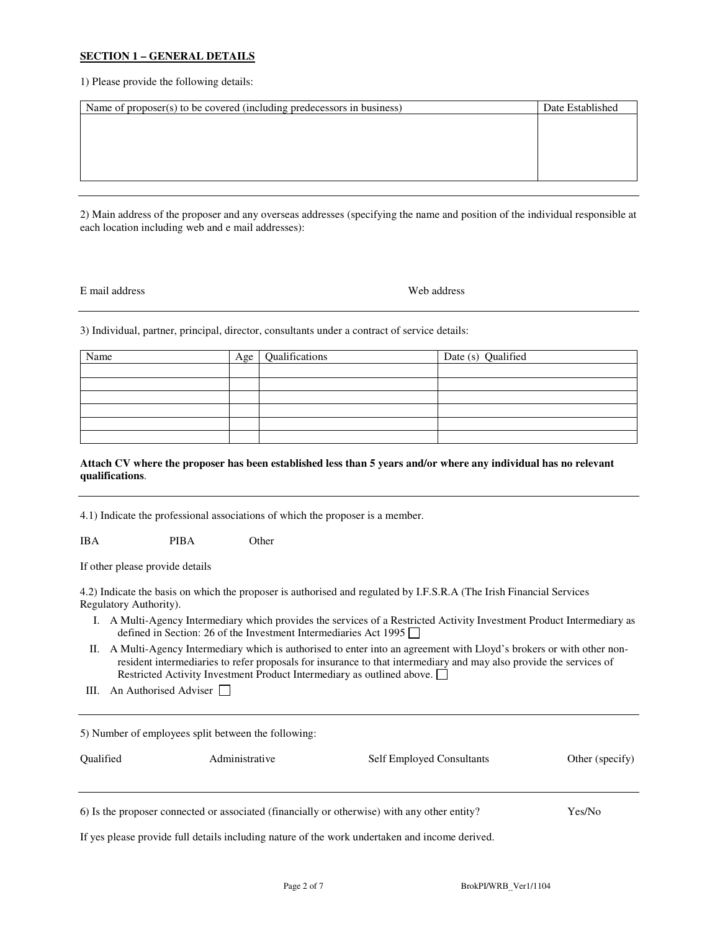## **SECTION 1 – GENERAL DETAILS**

1) Please provide the following details:

| Name of proposer(s) to be covered (including predecessors in business) | Date Established |
|------------------------------------------------------------------------|------------------|
|                                                                        |                  |
|                                                                        |                  |
|                                                                        |                  |
|                                                                        |                  |
|                                                                        |                  |

2) Main address of the proposer and any overseas addresses (specifying the name and position of the individual responsible at each location including web and e mail addresses):

### E mail address Web address

3) Individual, partner, principal, director, consultants under a contract of service details:

| Name | Age | Qualifications | Date (s) Qualified |
|------|-----|----------------|--------------------|
|      |     |                |                    |
|      |     |                |                    |
|      |     |                |                    |
|      |     |                |                    |
|      |     |                |                    |
|      |     |                |                    |

## **Attach CV where the proposer has been established less than 5 years and/or where any individual has no relevant qualifications**.

4.1) Indicate the professional associations of which the proposer is a member.

IBA PIBA Other

If other please provide details

4.2) Indicate the basis on which the proposer is authorised and regulated by I.F.S.R.A (The Irish Financial Services Regulatory Authority).

- I. A Multi-Agency Intermediary which provides the services of a Restricted Activity Investment Product Intermediary as defined in Section: 26 of the Investment Intermediaries Act 1995
- II. A Multi-Agency Intermediary which is authorised to enter into an agreement with Lloyd's brokers or with other nonresident intermediaries to refer proposals for insurance to that intermediary and may also provide the services of Restricted Activity Investment Product Intermediary as outlined above.
- III. An Authorised Adviser

| <b>Oualified</b>                                                                             | 5) Number of employees split between the following:<br>Administrative | <b>Self Employed Consultants</b> | Other (specify) |
|----------------------------------------------------------------------------------------------|-----------------------------------------------------------------------|----------------------------------|-----------------|
|                                                                                              |                                                                       |                                  |                 |
| 6) Is the proposer connected or associated (financially or otherwise) with any other entity? | Yes/No                                                                |                                  |                 |

If yes please provide full details including nature of the work undertaken and income derived.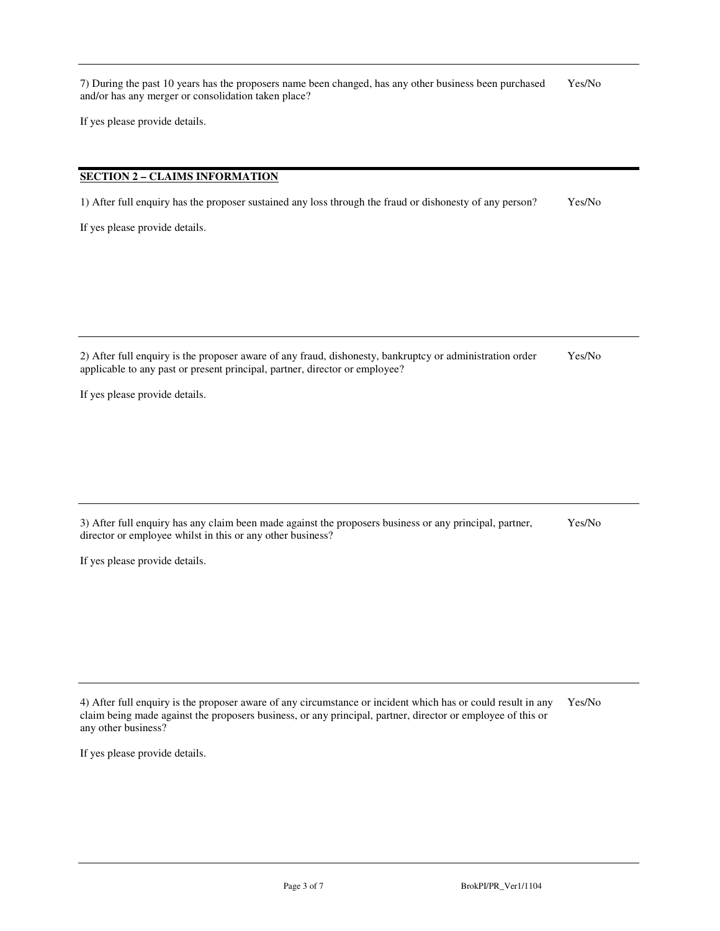7) During the past 10 years has the proposers name been changed, has any other business been purchased Yes/No and/or has any merger or consolidation taken place?

If yes please provide details.

# **SECTION 2 – CLAIMS INFORMATION**

1) After full enquiry has the proposer sustained any loss through the fraud or dishonesty of any person? Yes/No

If yes please provide details.

2) After full enquiry is the proposer aware of any fraud, dishonesty, bankruptcy or administration order Yes/No applicable to any past or present principal, partner, director or employee?

If yes please provide details.

3) After full enquiry has any claim been made against the proposers business or any principal, partner, Yes/No director or employee whilst in this or any other business?

If yes please provide details.

4) After full enquiry is the proposer aware of any circumstance or incident which has or could result in any Yes/No claim being made against the proposers business, or any principal, partner, director or employee of this or any other business?

If yes please provide details.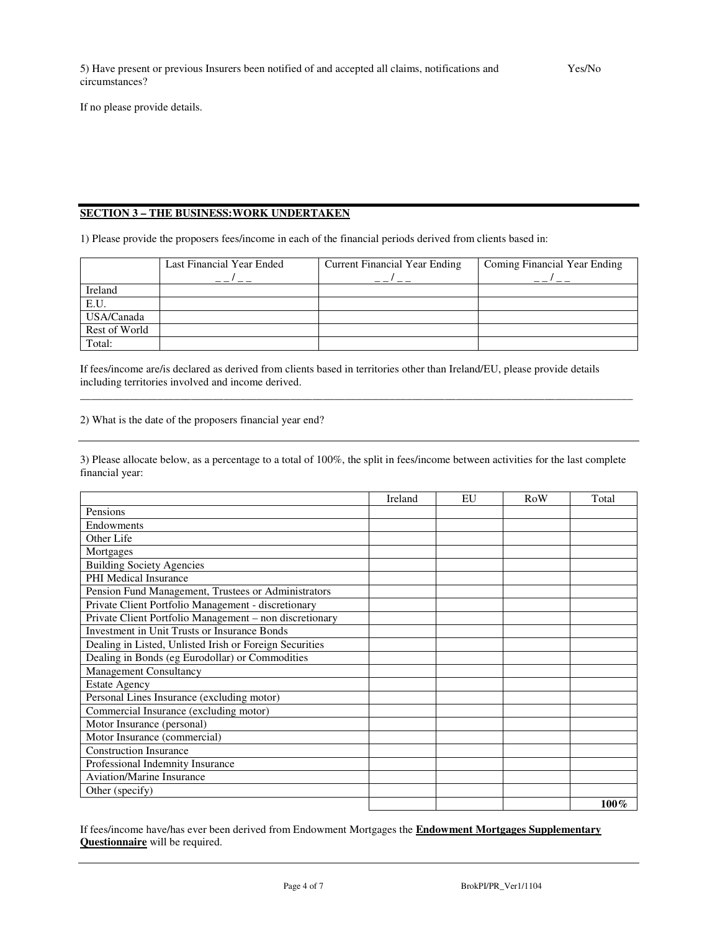If no please provide details.

# **SECTION 3 – THE BUSINESS:WORK UNDERTAKEN**

1) Please provide the proposers fees/income in each of the financial periods derived from clients based in:

|               | Last Financial Year Ended | <b>Current Financial Year Ending</b> | Coming Financial Year Ending |
|---------------|---------------------------|--------------------------------------|------------------------------|
|               |                           |                                      |                              |
| Ireland       |                           |                                      |                              |
| E.U.          |                           |                                      |                              |
| USA/Canada    |                           |                                      |                              |
| Rest of World |                           |                                      |                              |
| Total:        |                           |                                      |                              |

If fees/income are/is declared as derived from clients based in territories other than Ireland/EU, please provide details including territories involved and income derived.

2) What is the date of the proposers financial year end?

3) Please allocate below, as a percentage to a total of 100%, the split in fees/income between activities for the last complete financial year:

\_\_\_\_\_\_\_\_\_\_\_\_\_\_\_\_\_\_\_\_\_\_\_\_\_\_\_\_\_\_\_\_\_\_\_\_\_\_\_\_\_\_\_\_\_\_\_\_\_\_\_\_\_\_\_\_\_\_\_\_\_\_\_\_\_\_\_\_\_\_\_\_\_\_\_\_\_\_\_\_\_\_\_\_\_\_\_\_\_\_\_\_\_\_\_\_\_\_\_\_

|                                                         | Ireland | EU | <b>RoW</b> | Total   |
|---------------------------------------------------------|---------|----|------------|---------|
| Pensions                                                |         |    |            |         |
| Endowments                                              |         |    |            |         |
| Other Life                                              |         |    |            |         |
| Mortgages                                               |         |    |            |         |
| <b>Building Society Agencies</b>                        |         |    |            |         |
| <b>PHI Medical Insurance</b>                            |         |    |            |         |
| Pension Fund Management, Trustees or Administrators     |         |    |            |         |
| Private Client Portfolio Management - discretionary     |         |    |            |         |
| Private Client Portfolio Management - non discretionary |         |    |            |         |
| <b>Investment in Unit Trusts or Insurance Bonds</b>     |         |    |            |         |
| Dealing in Listed, Unlisted Irish or Foreign Securities |         |    |            |         |
| Dealing in Bonds (eg Eurodollar) or Commodities         |         |    |            |         |
| <b>Management Consultancy</b>                           |         |    |            |         |
| <b>Estate Agency</b>                                    |         |    |            |         |
| Personal Lines Insurance (excluding motor)              |         |    |            |         |
| Commercial Insurance (excluding motor)                  |         |    |            |         |
| Motor Insurance (personal)                              |         |    |            |         |
| Motor Insurance (commercial)                            |         |    |            |         |
| <b>Construction Insurance</b>                           |         |    |            |         |
| Professional Indemnity Insurance                        |         |    |            |         |
| <b>Aviation/Marine Insurance</b>                        |         |    |            |         |
| Other (specify)                                         |         |    |            |         |
|                                                         |         |    |            | $100\%$ |

If fees/income have/has ever been derived from Endowment Mortgages the **Endowment Mortgages Supplementary Questionnaire** will be required.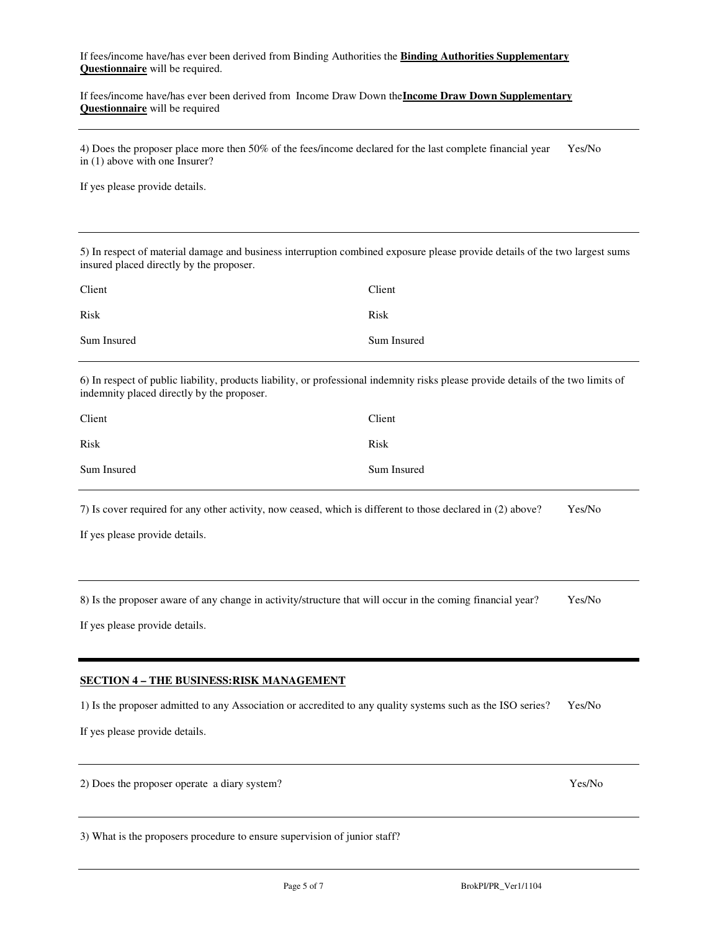If fees/income have/has ever been derived from Binding Authorities the **Binding Authorities Supplementary Questionnaire** will be required.

If fees/income have/has ever been derived from Income Draw Down the**Income Draw Down Supplementary Questionnaire** will be required

4) Does the proposer place more then 50% of the fees/income declared for the last complete financial year Yes/No in (1) above with one Insurer?

If yes please provide details.

5) In respect of material damage and business interruption combined exposure please provide details of the two largest sums insured placed directly by the proposer.

| Client      | Client      |
|-------------|-------------|
| Risk        | Risk        |
| Sum Insured | Sum Insured |

6) In respect of public liability, products liability, or professional indemnity risks please provide details of the two limits of indemnity placed directly by the proposer.

| Client      | Client      |
|-------------|-------------|
| Risk        | Risk        |
| Sum Insured | Sum Insured |

7) Is cover required for any other activity, now ceased, which is different to those declared in (2) above? Yes/No

If yes please provide details.

8) Is the proposer aware of any change in activity/structure that will occur in the coming financial year? Yes/No

If yes please provide details.

### **SECTION 4 – THE BUSINESS:RISK MANAGEMENT**

1) Is the proposer admitted to any Association or accredited to any quality systems such as the ISO series? Yes/No

If yes please provide details.

2) Does the proposer operate a diary system? Yes/No

3) What is the proposers procedure to ensure supervision of junior staff?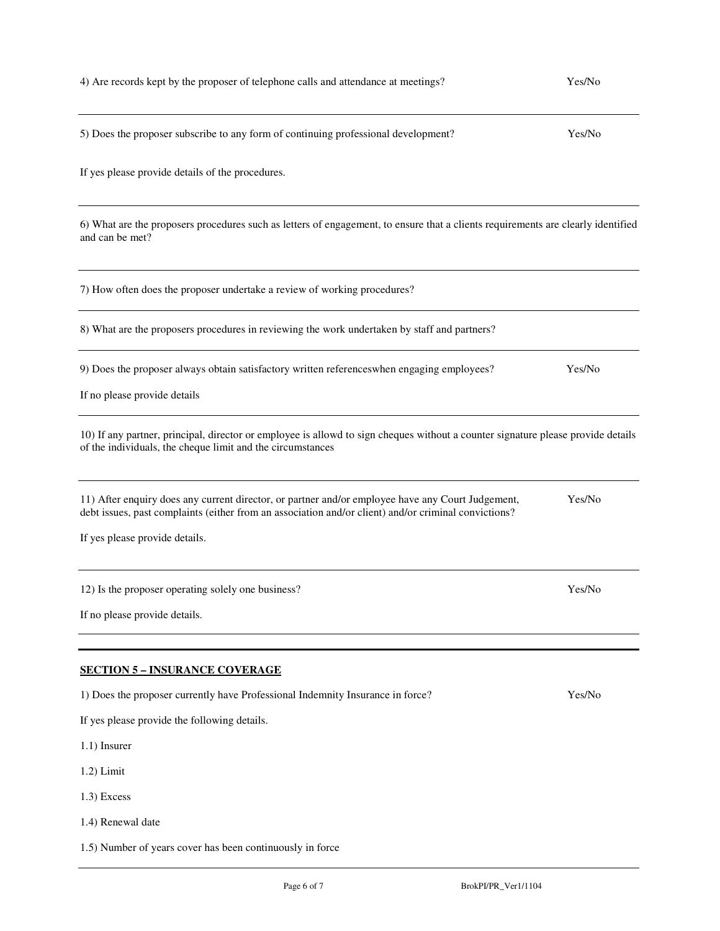| 4) Are records kept by the proposer of telephone calls and attendance at meetings?                                                                                                                                                          | Yes/No |
|---------------------------------------------------------------------------------------------------------------------------------------------------------------------------------------------------------------------------------------------|--------|
| 5) Does the proposer subscribe to any form of continuing professional development?                                                                                                                                                          | Yes/No |
| If yes please provide details of the procedures.                                                                                                                                                                                            |        |
| 6) What are the proposers procedures such as letters of engagement, to ensure that a clients requirements are clearly identified<br>and can be met?                                                                                         |        |
| 7) How often does the proposer undertake a review of working procedures?                                                                                                                                                                    |        |
| 8) What are the proposers procedures in reviewing the work undertaken by staff and partners?                                                                                                                                                |        |
| 9) Does the proposer always obtain satisfactory written references when engaging employees?                                                                                                                                                 | Yes/No |
| If no please provide details                                                                                                                                                                                                                |        |
| 10) If any partner, principal, director or employee is allowd to sign cheques without a counter signature please provide details<br>of the individuals, the cheque limit and the circumstances                                              |        |
| 11) After enquiry does any current director, or partner and/or employee have any Court Judgement,<br>debt issues, past complaints (either from an association and/or client) and/or criminal convictions?<br>If yes please provide details. | Yes/No |
|                                                                                                                                                                                                                                             |        |
| 12) Is the proposer operating solely one business?                                                                                                                                                                                          | Yes/No |
| If no please provide details.                                                                                                                                                                                                               |        |
| <b>SECTION 5 - INSURANCE COVERAGE</b>                                                                                                                                                                                                       |        |
| 1) Does the proposer currently have Professional Indemnity Insurance in force?                                                                                                                                                              | Yes/No |
| If yes please provide the following details.                                                                                                                                                                                                |        |
| 1.1) Insurer                                                                                                                                                                                                                                |        |
| $1.2$ ) Limit                                                                                                                                                                                                                               |        |
| 1.3) Excess                                                                                                                                                                                                                                 |        |
| 1.4) Renewal date                                                                                                                                                                                                                           |        |

1.5) Number of years cover has been continuously in force